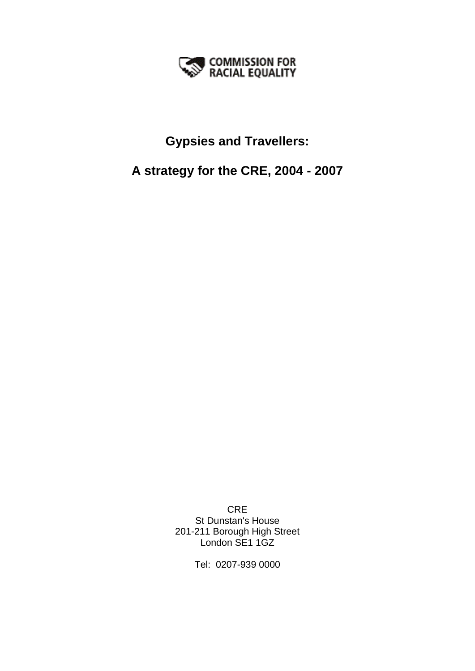

# **Gypsies and Travellers:**

# **A strategy for the CRE, 2004 - 2007**

CRE St Dunstan's House 201-211 Borough High Street London SE1 1GZ

Tel: 0207-939 0000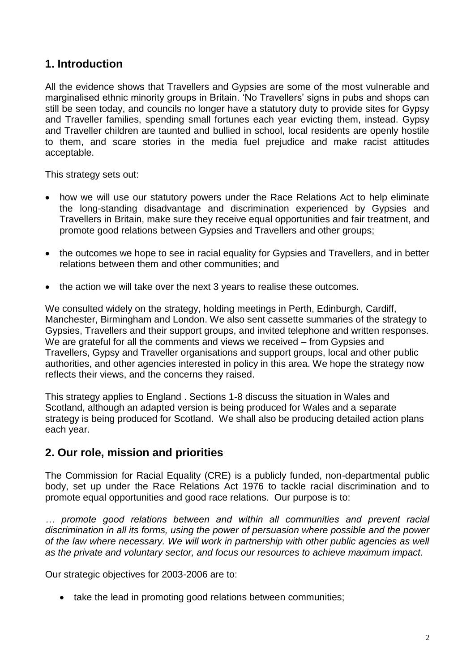# **1. Introduction**

All the evidence shows that Travellers and Gypsies are some of the most vulnerable and marginalised ethnic minority groups in Britain. 'No Travellers' signs in pubs and shops can still be seen today, and councils no longer have a statutory duty to provide sites for Gypsy and Traveller families, spending small fortunes each year evicting them, instead. Gypsy and Traveller children are taunted and bullied in school, local residents are openly hostile to them, and scare stories in the media fuel prejudice and make racist attitudes acceptable.

This strategy sets out:

- how we will use our statutory powers under the Race Relations Act to help eliminate the long-standing disadvantage and discrimination experienced by Gypsies and Travellers in Britain, make sure they receive equal opportunities and fair treatment, and promote good relations between Gypsies and Travellers and other groups;
- the outcomes we hope to see in racial equality for Gypsies and Travellers, and in better relations between them and other communities; and
- the action we will take over the next 3 years to realise these outcomes.

We consulted widely on the strategy, holding meetings in Perth, Edinburgh, Cardiff, Manchester, Birmingham and London. We also sent cassette summaries of the strategy to Gypsies, Travellers and their support groups, and invited telephone and written responses. We are grateful for all the comments and views we received – from Gypsies and Travellers, Gypsy and Traveller organisations and support groups, local and other public authorities, and other agencies interested in policy in this area. We hope the strategy now reflects their views, and the concerns they raised.

This strategy applies to England . Sections 1-8 discuss the situation in Wales and Scotland, although an adapted version is being produced for Wales and a separate strategy is being produced for Scotland. We shall also be producing detailed action plans each year.

# **2. Our role, mission and priorities**

The Commission for Racial Equality (CRE) is a publicly funded, non-departmental public body, set up under the Race Relations Act 1976 to tackle racial discrimination and to promote equal opportunities and good race relations. Our purpose is to:

*… promote good relations between and within all communities and prevent racial discrimination in all its forms, using the power of persuasion where possible and the power of the law where necessary. We will work in partnership with other public agencies as well as the private and voluntary sector, and focus our resources to achieve maximum impact.*

Our strategic objectives for 2003-2006 are to:

• take the lead in promoting good relations between communities;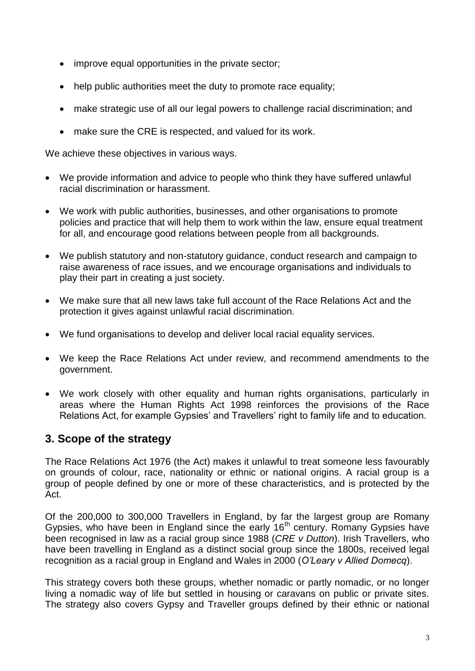- improve equal opportunities in the private sector;
- help public authorities meet the duty to promote race equality;
- make strategic use of all our legal powers to challenge racial discrimination; and
- make sure the CRE is respected, and valued for its work.

We achieve these objectives in various ways.

- We provide information and advice to people who think they have suffered unlawful racial discrimination or harassment.
- We work with public authorities, businesses, and other organisations to promote policies and practice that will help them to work within the law, ensure equal treatment for all, and encourage good relations between people from all backgrounds.
- We publish statutory and non-statutory guidance, conduct research and campaign to raise awareness of race issues, and we encourage organisations and individuals to play their part in creating a just society.
- We make sure that all new laws take full account of the Race Relations Act and the protection it gives against unlawful racial discrimination.
- We fund organisations to develop and deliver local racial equality services.
- We keep the Race Relations Act under review, and recommend amendments to the government.
- We work closely with other equality and human rights organisations, particularly in areas where the Human Rights Act 1998 reinforces the provisions of the Race Relations Act, for example Gypsies' and Travellers' right to family life and to education.

# **3. Scope of the strategy**

The Race Relations Act 1976 (the Act) makes it unlawful to treat someone less favourably on grounds of colour, race, nationality or ethnic or national origins. A racial group is a group of people defined by one or more of these characteristics, and is protected by the Act.

Of the 200,000 to 300,000 Travellers in England, by far the largest group are Romany Gypsies, who have been in England since the early 16<sup>th</sup> century. Romany Gypsies have been recognised in law as a racial group since 1988 (*CRE v Dutton*). Irish Travellers, who have been travelling in England as a distinct social group since the 1800s, received legal recognition as a racial group in England and Wales in 2000 (*O'Leary v Allied Domecq*).

This strategy covers both these groups, whether nomadic or partly nomadic, or no longer living a nomadic way of life but settled in housing or caravans on public or private sites. The strategy also covers Gypsy and Traveller groups defined by their ethnic or national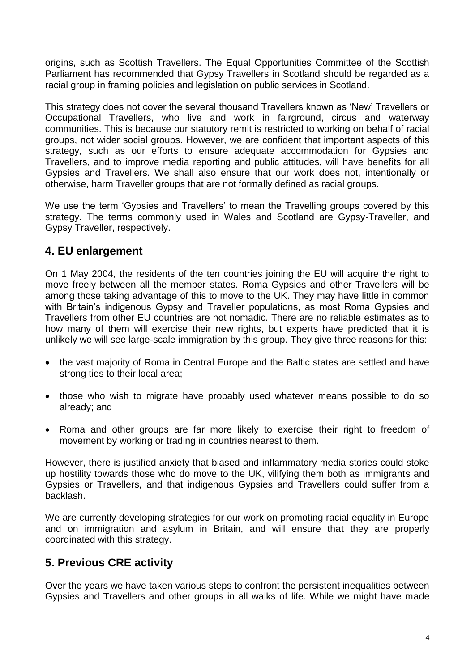origins, such as Scottish Travellers. The Equal Opportunities Committee of the Scottish Parliament has recommended that Gypsy Travellers in Scotland should be regarded as a racial group in framing policies and legislation on public services in Scotland.

This strategy does not cover the several thousand Travellers known as 'New' Travellers or Occupational Travellers, who live and work in fairground, circus and waterway communities. This is because our statutory remit is restricted to working on behalf of racial groups, not wider social groups. However, we are confident that important aspects of this strategy, such as our efforts to ensure adequate accommodation for Gypsies and Travellers, and to improve media reporting and public attitudes, will have benefits for all Gypsies and Travellers. We shall also ensure that our work does not, intentionally or otherwise, harm Traveller groups that are not formally defined as racial groups.

We use the term 'Gypsies and Travellers' to mean the Travelling groups covered by this strategy. The terms commonly used in Wales and Scotland are Gypsy-Traveller, and Gypsy Traveller, respectively.

# **4. EU enlargement**

On 1 May 2004, the residents of the ten countries joining the EU will acquire the right to move freely between all the member states. Roma Gypsies and other Travellers will be among those taking advantage of this to move to the UK. They may have little in common with Britain's indigenous Gypsy and Traveller populations, as most Roma Gypsies and Travellers from other EU countries are not nomadic. There are no reliable estimates as to how many of them will exercise their new rights, but experts have predicted that it is unlikely we will see large-scale immigration by this group. They give three reasons for this:

- the vast majority of Roma in Central Europe and the Baltic states are settled and have strong ties to their local area;
- those who wish to migrate have probably used whatever means possible to do so already; and
- Roma and other groups are far more likely to exercise their right to freedom of movement by working or trading in countries nearest to them.

However, there is justified anxiety that biased and inflammatory media stories could stoke up hostility towards those who do move to the UK, vilifying them both as immigrants and Gypsies or Travellers, and that indigenous Gypsies and Travellers could suffer from a backlash.

We are currently developing strategies for our work on promoting racial equality in Europe and on immigration and asylum in Britain, and will ensure that they are properly coordinated with this strategy.

# **5. Previous CRE activity**

Over the years we have taken various steps to confront the persistent inequalities between Gypsies and Travellers and other groups in all walks of life. While we might have made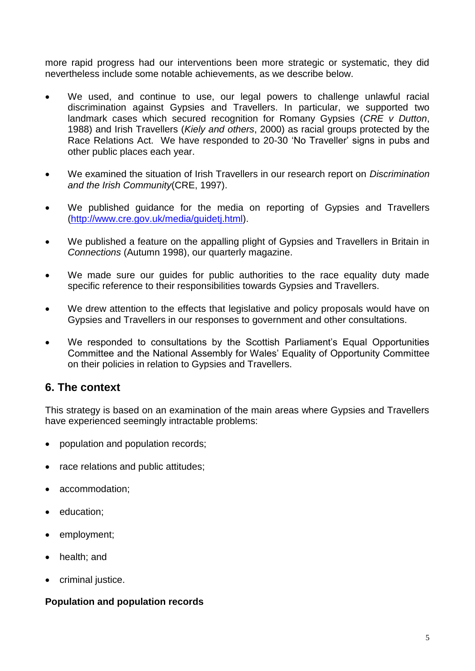more rapid progress had our interventions been more strategic or systematic, they did nevertheless include some notable achievements, as we describe below.

- We used, and continue to use, our legal powers to challenge unlawful racial discrimination against Gypsies and Travellers. In particular, we supported two landmark cases which secured recognition for Romany Gypsies (*CRE v Dutton*, 1988) and Irish Travellers (*Kiely and others*, 2000) as racial groups protected by the Race Relations Act. We have responded to 20-30 'No Traveller' signs in pubs and other public places each year.
- We examined the situation of Irish Travellers in our research report on *Discrimination and the Irish Community*(CRE, 1997).
- We published guidance for the media on reporting of Gypsies and Travellers [\(http://www.cre.gov.uk/media/guidetj.html\)](http://www.cre.gov.uk/XXXhttp:/www.cre.gov.uk/media/guidetj.html).
- We published a feature on the appalling plight of Gypsies and Travellers in Britain in *Connections* (Autumn 1998), our quarterly magazine.
- We made sure our guides for public authorities to the race equality duty made specific reference to their responsibilities towards Gypsies and Travellers.
- We drew attention to the effects that legislative and policy proposals would have on Gypsies and Travellers in our responses to government and other consultations.
- We responded to consultations by the Scottish Parliament's Equal Opportunities Committee and the National Assembly for Wales' Equality of Opportunity Committee on their policies in relation to Gypsies and Travellers.

# **6. The context**

This strategy is based on an examination of the main areas where Gypsies and Travellers have experienced seemingly intractable problems:

- population and population records;
- race relations and public attitudes:
- accommodation;
- education:
- employment;
- health; and
- criminal justice.

#### **Population and population records**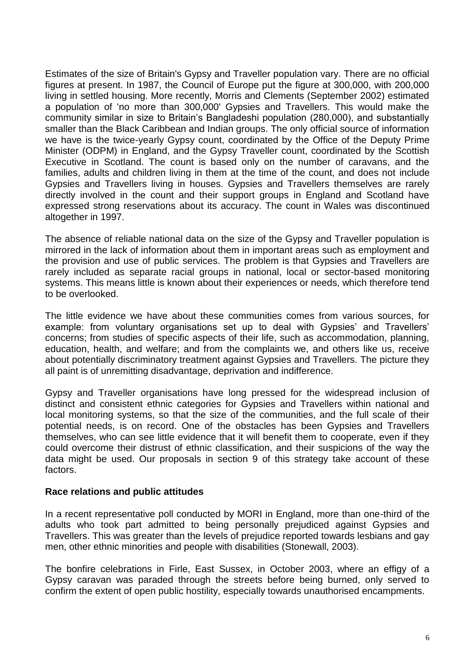Estimates of the size of Britain's Gypsy and Traveller population vary. There are no official figures at present. In 1987, the Council of Europe put the figure at 300,000, with 200,000 living in settled housing. More recently, Morris and Clements (September 2002) estimated a population of 'no more than 300,000' Gypsies and Travellers. This would make the community similar in size to Britain's Bangladeshi population (280,000), and substantially smaller than the Black Caribbean and Indian groups. The only official source of information we have is the twice-yearly Gypsy count, coordinated by the Office of the Deputy Prime Minister (ODPM) in England, and the Gypsy Traveller count, coordinated by the Scottish Executive in Scotland. The count is based only on the number of caravans, and the families, adults and children living in them at the time of the count, and does not include Gypsies and Travellers living in houses. Gypsies and Travellers themselves are rarely directly involved in the count and their support groups in England and Scotland have expressed strong reservations about its accuracy. The count in Wales was discontinued altogether in 1997.

The absence of reliable national data on the size of the Gypsy and Traveller population is mirrored in the lack of information about them in important areas such as employment and the provision and use of public services. The problem is that Gypsies and Travellers are rarely included as separate racial groups in national, local or sector-based monitoring systems. This means little is known about their experiences or needs, which therefore tend to be overlooked.

The little evidence we have about these communities comes from various sources, for example: from voluntary organisations set up to deal with Gypsies' and Travellers' concerns; from studies of specific aspects of their life, such as accommodation, planning, education, health, and welfare; and from the complaints we, and others like us, receive about potentially discriminatory treatment against Gypsies and Travellers. The picture they all paint is of unremitting disadvantage, deprivation and indifference.

Gypsy and Traveller organisations have long pressed for the widespread inclusion of distinct and consistent ethnic categories for Gypsies and Travellers within national and local monitoring systems, so that the size of the communities, and the full scale of their potential needs, is on record. One of the obstacles has been Gypsies and Travellers themselves, who can see little evidence that it will benefit them to cooperate, even if they could overcome their distrust of ethnic classification, and their suspicions of the way the data might be used. Our proposals in section 9 of this strategy take account of these factors.

#### **Race relations and public attitudes**

In a recent representative poll conducted by MORI in England, more than one-third of the adults who took part admitted to being personally prejudiced against Gypsies and Travellers. This was greater than the levels of prejudice reported towards lesbians and gay men, other ethnic minorities and people with disabilities (Stonewall, 2003).

The bonfire celebrations in Firle, East Sussex, in October 2003, where an effigy of a Gypsy caravan was paraded through the streets before being burned, only served to confirm the extent of open public hostility, especially towards unauthorised encampments.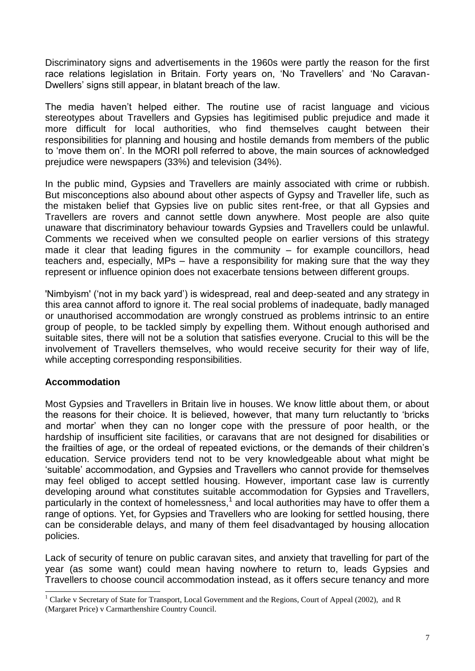Discriminatory signs and advertisements in the 1960s were partly the reason for the first race relations legislation in Britain. Forty years on, 'No Travellers' and 'No Caravan-Dwellers' signs still appear, in blatant breach of the law.

The media haven't helped either. The routine use of racist language and vicious stereotypes about Travellers and Gypsies has legitimised public prejudice and made it more difficult for local authorities, who find themselves caught between their responsibilities for planning and housing and hostile demands from members of the public to 'move them on'. In the MORI poll referred to above, the main sources of acknowledged prejudice were newspapers (33%) and television (34%).

In the public mind, Gypsies and Travellers are mainly associated with crime or rubbish. But misconceptions also abound about other aspects of Gypsy and Traveller life, such as the mistaken belief that Gypsies live on public sites rent-free, or that all Gypsies and Travellers are rovers and cannot settle down anywhere. Most people are also quite unaware that discriminatory behaviour towards Gypsies and Travellers could be unlawful. Comments we received when we consulted people on earlier versions of this strategy made it clear that leading figures in the community – for example councillors, head teachers and, especially, MPs – have a responsibility for making sure that the way they represent or influence opinion does not exacerbate tensions between different groups.

'Nimbyism' ('not in my back yard') is widespread, real and deep-seated and any strategy in this area cannot afford to ignore it. The real social problems of inadequate, badly managed or unauthorised accommodation are wrongly construed as problems intrinsic to an entire group of people, to be tackled simply by expelling them. Without enough authorised and suitable sites, there will not be a solution that satisfies everyone. Crucial to this will be the involvement of Travellers themselves, who would receive security for their way of life, while accepting corresponding responsibilities.

## **Accommodation**

-

Most Gypsies and Travellers in Britain live in houses. We know little about them, or about the reasons for their choice. It is believed, however, that many turn reluctantly to 'bricks and mortar' when they can no longer cope with the pressure of poor health, or the hardship of insufficient site facilities, or caravans that are not designed for disabilities or the frailties of age, or the ordeal of repeated evictions, or the demands of their children's education. Service providers tend not to be very knowledgeable about what might be 'suitable' accommodation, and Gypsies and Travellers who cannot provide for themselves may feel obliged to accept settled housing. However, important case law is currently developing around what constitutes suitable accommodation for Gypsies and Travellers, particularly in the context of homelessness, $<sup>1</sup>$  and local authorities may have to offer them a</sup> range of options. Yet, for Gypsies and Travellers who are looking for settled housing, there can be considerable delays, and many of them feel disadvantaged by housing allocation policies.

Lack of security of tenure on public caravan sites, and anxiety that travelling for part of the year (as some want) could mean having nowhere to return to, leads Gypsies and Travellers to choose council accommodation instead, as it offers secure tenancy and more

<sup>&</sup>lt;sup>1</sup> Clarke v Secretary of State for Transport, Local Government and the Regions, Court of Appeal (2002), and R (Margaret Price) v Carmarthenshire Country Council.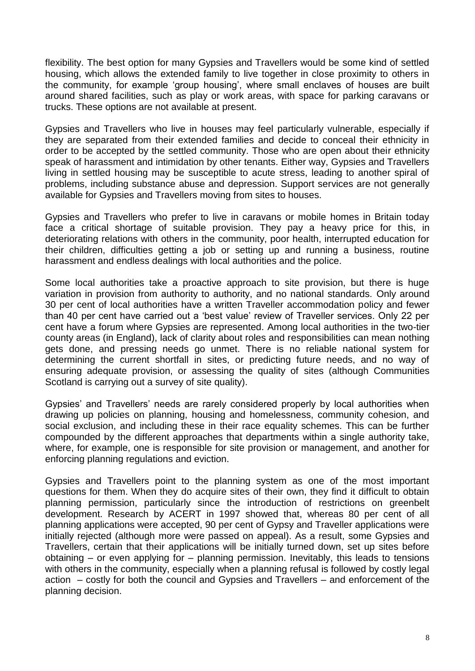flexibility. The best option for many Gypsies and Travellers would be some kind of settled housing, which allows the extended family to live together in close proximity to others in the community, for example 'group housing', where small enclaves of houses are built around shared facilities, such as play or work areas, with space for parking caravans or trucks. These options are not available at present.

Gypsies and Travellers who live in houses may feel particularly vulnerable, especially if they are separated from their extended families and decide to conceal their ethnicity in order to be accepted by the settled community. Those who are open about their ethnicity speak of harassment and intimidation by other tenants. Either way, Gypsies and Travellers living in settled housing may be susceptible to acute stress, leading to another spiral of problems, including substance abuse and depression. Support services are not generally available for Gypsies and Travellers moving from sites to houses.

Gypsies and Travellers who prefer to live in caravans or mobile homes in Britain today face a critical shortage of suitable provision. They pay a heavy price for this, in deteriorating relations with others in the community, poor health, interrupted education for their children, difficulties getting a job or setting up and running a business, routine harassment and endless dealings with local authorities and the police.

Some local authorities take a proactive approach to site provision, but there is huge variation in provision from authority to authority, and no national standards. Only around 30 per cent of local authorities have a written Traveller accommodation policy and fewer than 40 per cent have carried out a 'best value' review of Traveller services. Only 22 per cent have a forum where Gypsies are represented. Among local authorities in the two-tier county areas (in England), lack of clarity about roles and responsibilities can mean nothing gets done, and pressing needs go unmet. There is no reliable national system for determining the current shortfall in sites, or predicting future needs, and no way of ensuring adequate provision, or assessing the quality of sites (although Communities Scotland is carrying out a survey of site quality).

Gypsies' and Travellers' needs are rarely considered properly by local authorities when drawing up policies on planning, housing and homelessness, community cohesion, and social exclusion, and including these in their race equality schemes. This can be further compounded by the different approaches that departments within a single authority take, where, for example, one is responsible for site provision or management, and another for enforcing planning regulations and eviction.

Gypsies and Travellers point to the planning system as one of the most important questions for them. When they do acquire sites of their own, they find it difficult to obtain planning permission, particularly since the introduction of restrictions on greenbelt development. Research by ACERT in 1997 showed that, whereas 80 per cent of all planning applications were accepted, 90 per cent of Gypsy and Traveller applications were initially rejected (although more were passed on appeal). As a result, some Gypsies and Travellers, certain that their applications will be initially turned down, set up sites before obtaining – or even applying for – planning permission. Inevitably, this leads to tensions with others in the community, especially when a planning refusal is followed by costly legal action – costly for both the council and Gypsies and Travellers – and enforcement of the planning decision.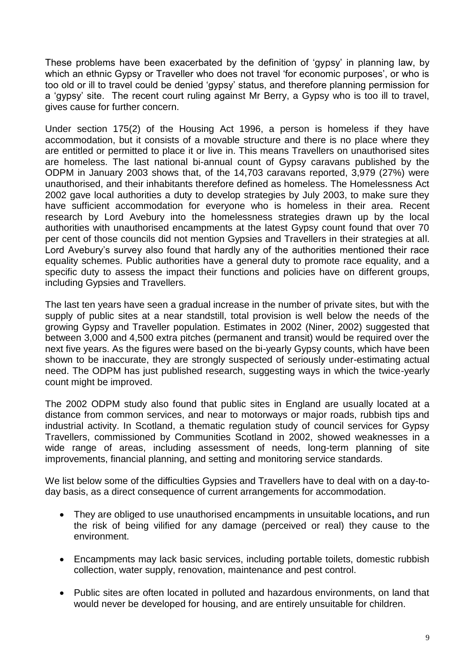These problems have been exacerbated by the definition of 'gypsy' in planning law, by which an ethnic Gypsy or Traveller who does not travel 'for economic purposes', or who is too old or ill to travel could be denied 'gypsy' status, and therefore planning permission for a 'gypsy' site. The recent court ruling against Mr Berry, a Gypsy who is too ill to travel, gives cause for further concern.

Under section 175(2) of the Housing Act 1996, a person is homeless if they have accommodation, but it consists of a movable structure and there is no place where they are entitled or permitted to place it or live in. This means Travellers on unauthorised sites are homeless. The last national bi-annual count of Gypsy caravans published by the ODPM in January 2003 shows that, of the 14,703 caravans reported, 3,979 (27%) were unauthorised, and their inhabitants therefore defined as homeless. The Homelessness Act 2002 gave local authorities a duty to develop strategies by July 2003, to make sure they have sufficient accommodation for everyone who is homeless in their area. Recent research by Lord Avebury into the homelessness strategies drawn up by the local authorities with unauthorised encampments at the latest Gypsy count found that over 70 per cent of those councils did not mention Gypsies and Travellers in their strategies at all. Lord Avebury's survey also found that hardly any of the authorities mentioned their race equality schemes. Public authorities have a general duty to promote race equality, and a specific duty to assess the impact their functions and policies have on different groups, including Gypsies and Travellers.

The last ten years have seen a gradual increase in the number of private sites, but with the supply of public sites at a near standstill, total provision is well below the needs of the growing Gypsy and Traveller population. Estimates in 2002 (Niner, 2002) suggested that between 3,000 and 4,500 extra pitches (permanent and transit) would be required over the next five years. As the figures were based on the bi-yearly Gypsy counts, which have been shown to be inaccurate, they are strongly suspected of seriously under-estimating actual need. The ODPM has just published research, suggesting ways in which the twice-yearly count might be improved.

The 2002 ODPM study also found that public sites in England are usually located at a distance from common services, and near to motorways or major roads, rubbish tips and industrial activity. In Scotland, a thematic regulation study of council services for Gypsy Travellers, commissioned by Communities Scotland in 2002, showed weaknesses in a wide range of areas, including assessment of needs, long-term planning of site improvements, financial planning, and setting and monitoring service standards.

We list below some of the difficulties Gypsies and Travellers have to deal with on a day-today basis, as a direct consequence of current arrangements for accommodation.

- They are obliged to use unauthorised encampments in unsuitable locations**,** and run the risk of being vilified for any damage (perceived or real) they cause to the environment.
- Encampments may lack basic services, including portable toilets, domestic rubbish collection, water supply, renovation, maintenance and pest control.
- Public sites are often located in polluted and hazardous environments, on land that would never be developed for housing, and are entirely unsuitable for children.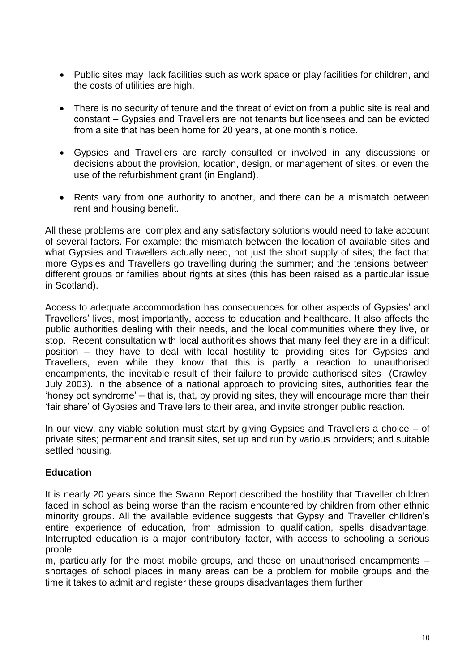- Public sites may lack facilities such as work space or play facilities for children, and the costs of utilities are high.
- There is no security of tenure and the threat of eviction from a public site is real and constant – Gypsies and Travellers are not tenants but licensees and can be evicted from a site that has been home for 20 years, at one month's notice.
- Gypsies and Travellers are rarely consulted or involved in any discussions or decisions about the provision, location, design, or management of sites, or even the use of the refurbishment grant (in England).
- Rents vary from one authority to another, and there can be a mismatch between rent and housing benefit.

All these problems are complex and any satisfactory solutions would need to take account of several factors. For example: the mismatch between the location of available sites and what Gypsies and Travellers actually need, not just the short supply of sites; the fact that more Gypsies and Travellers go travelling during the summer; and the tensions between different groups or families about rights at sites (this has been raised as a particular issue in Scotland).

Access to adequate accommodation has consequences for other aspects of Gypsies' and Travellers' lives, most importantly, access to education and healthcare. It also affects the public authorities dealing with their needs, and the local communities where they live, or stop. Recent consultation with local authorities shows that many feel they are in a difficult position – they have to deal with local hostility to providing sites for Gypsies and Travellers, even while they know that this is partly a reaction to unauthorised encampments, the inevitable result of their failure to provide authorised sites (Crawley, July 2003). In the absence of a national approach to providing sites, authorities fear the 'honey pot syndrome' – that is, that, by providing sites, they will encourage more than their 'fair share' of Gypsies and Travellers to their area, and invite stronger public reaction.

In our view, any viable solution must start by giving Gypsies and Travellers a choice – of private sites; permanent and transit sites, set up and run by various providers; and suitable settled housing.

## **Education**

It is nearly 20 years since the Swann Report described the hostility that Traveller children faced in school as being worse than the racism encountered by children from other ethnic minority groups. All the available evidence suggests that Gypsy and Traveller children's entire experience of education, from admission to qualification, spells disadvantage. Interrupted education is a major contributory factor, with access to schooling a serious proble

m, particularly for the most mobile groups, and those on unauthorised encampments – shortages of school places in many areas can be a problem for mobile groups and the time it takes to admit and register these groups disadvantages them further.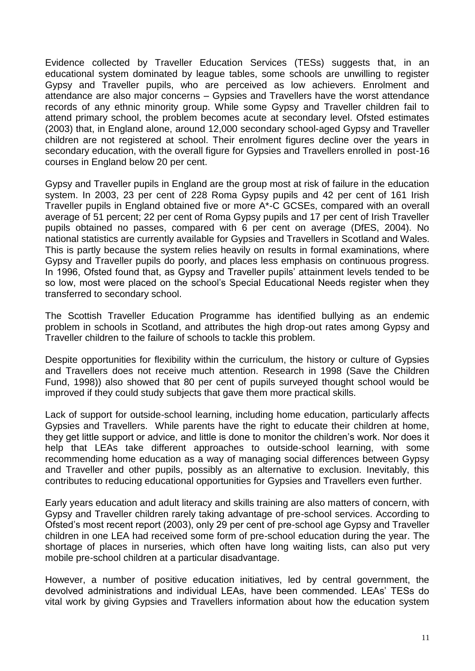Evidence collected by Traveller Education Services (TESs) suggests that, in an educational system dominated by league tables, some schools are unwilling to register Gypsy and Traveller pupils, who are perceived as low achievers. Enrolment and attendance are also major concerns – Gypsies and Travellers have the worst attendance records of any ethnic minority group. While some Gypsy and Traveller children fail to attend primary school, the problem becomes acute at secondary level. Ofsted estimates (2003) that, in England alone, around 12,000 secondary school-aged Gypsy and Traveller children are not registered at school. Their enrolment figures decline over the years in secondary education, with the overall figure for Gypsies and Travellers enrolled in post-16 courses in England below 20 per cent.

Gypsy and Traveller pupils in England are the group most at risk of failure in the education system. In 2003, 23 per cent of 228 Roma Gypsy pupils and 42 per cent of 161 Irish Traveller pupils in England obtained five or more A\*-C GCSEs, compared with an overall average of 51 percent; 22 per cent of Roma Gypsy pupils and 17 per cent of Irish Traveller pupils obtained no passes, compared with 6 per cent on average (DfES, 2004). No national statistics are currently available for Gypsies and Travellers in Scotland and Wales. This is partly because the system relies heavily on results in formal examinations, where Gypsy and Traveller pupils do poorly, and places less emphasis on continuous progress. In 1996, Ofsted found that, as Gypsy and Traveller pupils' attainment levels tended to be so low, most were placed on the school's Special Educational Needs register when they transferred to secondary school.

The Scottish Traveller Education Programme has identified bullying as an endemic problem in schools in Scotland, and attributes the high drop-out rates among Gypsy and Traveller children to the failure of schools to tackle this problem.

Despite opportunities for flexibility within the curriculum, the history or culture of Gypsies and Travellers does not receive much attention. Research in 1998 (Save the Children Fund, 1998)) also showed that 80 per cent of pupils surveyed thought school would be improved if they could study subjects that gave them more practical skills.

Lack of support for outside-school learning, including home education, particularly affects Gypsies and Travellers. While parents have the right to educate their children at home, they get little support or advice, and little is done to monitor the children's work. Nor does it help that LEAs take different approaches to outside-school learning, with some recommending home education as a way of managing social differences between Gypsy and Traveller and other pupils, possibly as an alternative to exclusion. Inevitably, this contributes to reducing educational opportunities for Gypsies and Travellers even further.

Early years education and adult literacy and skills training are also matters of concern, with Gypsy and Traveller children rarely taking advantage of pre-school services. According to Ofsted's most recent report (2003), only 29 per cent of pre-school age Gypsy and Traveller children in one LEA had received some form of pre-school education during the year. The shortage of places in nurseries, which often have long waiting lists, can also put very mobile pre-school children at a particular disadvantage.

However, a number of positive education initiatives, led by central government, the devolved administrations and individual LEAs, have been commended. LEAs' TESs do vital work by giving Gypsies and Travellers information about how the education system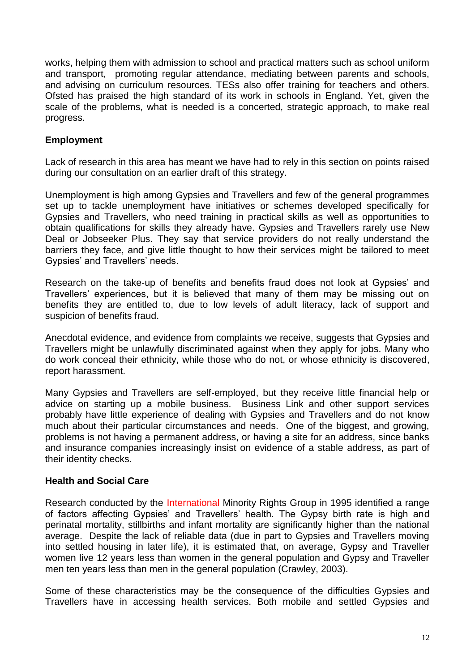works, helping them with admission to school and practical matters such as school uniform and transport, promoting regular attendance, mediating between parents and schools, and advising on curriculum resources. TESs also offer training for teachers and others. Ofsted has praised the high standard of its work in schools in England. Yet, given the scale of the problems, what is needed is a concerted, strategic approach, to make real progress.

### **Employment**

Lack of research in this area has meant we have had to rely in this section on points raised during our consultation on an earlier draft of this strategy.

Unemployment is high among Gypsies and Travellers and few of the general programmes set up to tackle unemployment have initiatives or schemes developed specifically for Gypsies and Travellers, who need training in practical skills as well as opportunities to obtain qualifications for skills they already have. Gypsies and Travellers rarely use New Deal or Jobseeker Plus. They say that service providers do not really understand the barriers they face, and give little thought to how their services might be tailored to meet Gypsies' and Travellers' needs.

Research on the take-up of benefits and benefits fraud does not look at Gypsies' and Travellers' experiences, but it is believed that many of them may be missing out on benefits they are entitled to, due to low levels of adult literacy, lack of support and suspicion of benefits fraud.

Anecdotal evidence, and evidence from complaints we receive, suggests that Gypsies and Travellers might be unlawfully discriminated against when they apply for jobs. Many who do work conceal their ethnicity, while those who do not, or whose ethnicity is discovered, report harassment.

Many Gypsies and Travellers are self-employed, but they receive little financial help or advice on starting up a mobile business. Business Link and other support services probably have little experience of dealing with Gypsies and Travellers and do not know much about their particular circumstances and needs. One of the biggest, and growing, problems is not having a permanent address, or having a site for an address, since banks and insurance companies increasingly insist on evidence of a stable address, as part of their identity checks.

#### **Health and Social Care**

Research conducted by the International Minority Rights Group in 1995 identified a range of factors affecting Gypsies' and Travellers' health. The Gypsy birth rate is high and perinatal mortality, stillbirths and infant mortality are significantly higher than the national average. Despite the lack of reliable data (due in part to Gypsies and Travellers moving into settled housing in later life), it is estimated that, on average, Gypsy and Traveller women live 12 years less than women in the general population and Gypsy and Traveller men ten years less than men in the general population (Crawley, 2003).

Some of these characteristics may be the consequence of the difficulties Gypsies and Travellers have in accessing health services. Both mobile and settled Gypsies and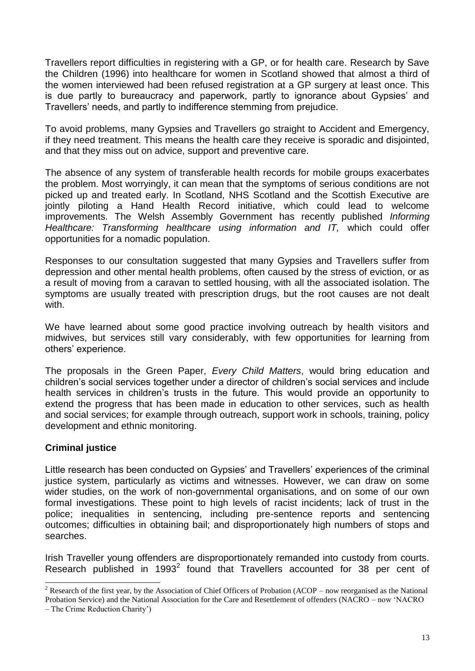Travellers report difficulties in registering with a GP, or for health care. Research by Save the Children (1996) into healthcare for women in Scotland showed that almost a third of the women interviewed had been refused registration at a GP surgery at least once. This is due partly to bureaucracy and paperwork, partly to ignorance about Gypsies' and Travellers' needs, and partly to indifference stemming from prejudice.

To avoid problems, many Gypsies and Travellers go straight to Accident and Emergency, if they need treatment. This means the health care they receive is sporadic and disjointed, and that they miss out on advice, support and preventive care.

The absence of any system of transferable health records for mobile groups exacerbates the problem. Most worryingly, it can mean that the symptoms of serious conditions are not picked up and treated early. In Scotland, NHS Scotland and the Scottish Executive are jointly piloting a Hand Health Record initiative, which could lead to welcome improvements. The Welsh Assembly Government has recently published *Informing Healthcare: Transforming healthcare using information and IT,* which could offer opportunities for a nomadic population.

Responses to our consultation suggested that many Gypsies and Travellers suffer from depression and other mental health problems, often caused by the stress of eviction, or as a result of moving from a caravan to settled housing, with all the associated isolation. The symptoms are usually treated with prescription drugs, but the root causes are not dealt with.

We have learned about some good practice involving outreach by health visitors and midwives, but services still vary considerably, with few opportunities for learning from others' experience.

The proposals in the Green Paper, *Every Child Matters*, would bring education and children's social services together under a director of children's social services and include health services in children's trusts in the future. This would provide an opportunity to extend the progress that has been made in education to other services, such as health and social services; for example through outreach, support work in schools, training, policy development and ethnic monitoring.

#### **Criminal justice**

Little research has been conducted on Gypsies' and Travellers' experiences of the criminal justice system, particularly as victims and witnesses. However, we can draw on some wider studies, on the work of non-governmental organisations, and on some of our own formal investigations. These point to high levels of racist incidents; lack of trust in the police; inequalities in sentencing, including pre-sentence reports and sentencing outcomes; difficulties in obtaining bail; and disproportionately high numbers of stops and searches.

Irish Traveller young offenders are disproportionately remanded into custody from courts. Research published in 1993<sup>2</sup> found that Travellers accounted for 38 per cent of

 $\overline{a}$ 

<sup>&</sup>lt;sup>2</sup> Research of the first year, by the Association of Chief Officers of Probation (ACOP – now reorganised as the National Probation Service) and the National Association for the Care and Resettlement of offenders (NACRO – now 'NACRO

<sup>–</sup> The Crime Reduction Charity')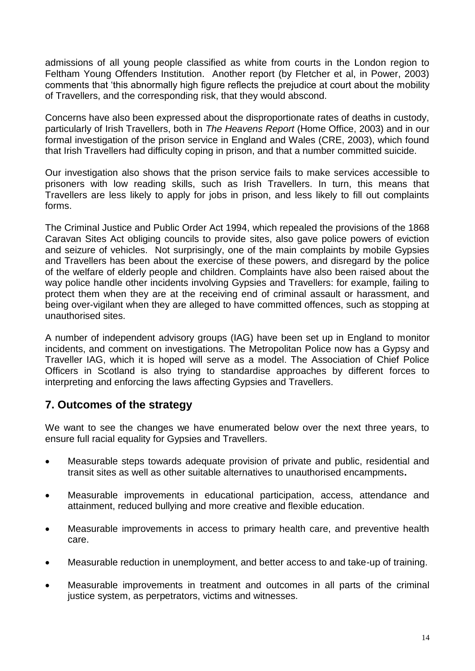admissions of all young people classified as white from courts in the London region to Feltham Young Offenders Institution. Another report (by Fletcher et al, in Power, 2003) comments that 'this abnormally high figure reflects the prejudice at court about the mobility of Travellers, and the corresponding risk, that they would abscond.

Concerns have also been expressed about the disproportionate rates of deaths in custody, particularly of Irish Travellers, both in *The Heavens Report* (Home Office, 2003) and in our formal investigation of the prison service in England and Wales (CRE, 2003), which found that Irish Travellers had difficulty coping in prison, and that a number committed suicide.

Our investigation also shows that the prison service fails to make services accessible to prisoners with low reading skills, such as Irish Travellers. In turn, this means that Travellers are less likely to apply for jobs in prison, and less likely to fill out complaints forms.

The Criminal Justice and Public Order Act 1994, which repealed the provisions of the 1868 Caravan Sites Act obliging councils to provide sites, also gave police powers of eviction and seizure of vehicles. Not surprisingly, one of the main complaints by mobile Gypsies and Travellers has been about the exercise of these powers, and disregard by the police of the welfare of elderly people and children. Complaints have also been raised about the way police handle other incidents involving Gypsies and Travellers: for example, failing to protect them when they are at the receiving end of criminal assault or harassment, and being over-vigilant when they are alleged to have committed offences, such as stopping at unauthorised sites.

A number of independent advisory groups (IAG) have been set up in England to monitor incidents, and comment on investigations. The Metropolitan Police now has a Gypsy and Traveller IAG, which it is hoped will serve as a model. The Association of Chief Police Officers in Scotland is also trying to standardise approaches by different forces to interpreting and enforcing the laws affecting Gypsies and Travellers.

# **7. Outcomes of the strategy**

We want to see the changes we have enumerated below over the next three years, to ensure full racial equality for Gypsies and Travellers.

- Measurable steps towards adequate provision of private and public, residential and transit sites as well as other suitable alternatives to unauthorised encampments**.**
- Measurable improvements in educational participation, access, attendance and attainment, reduced bullying and more creative and flexible education.
- Measurable improvements in access to primary health care, and preventive health care.
- Measurable reduction in unemployment, and better access to and take-up of training.
- Measurable improvements in treatment and outcomes in all parts of the criminal justice system, as perpetrators, victims and witnesses.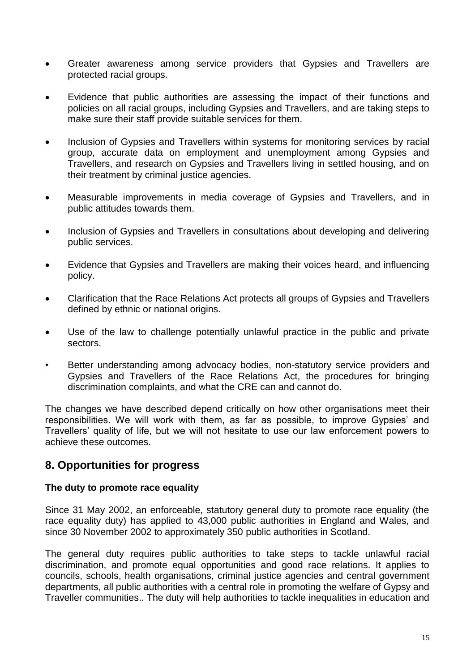- Greater awareness among service providers that Gypsies and Travellers are protected racial groups.
- Evidence that public authorities are assessing the impact of their functions and policies on all racial groups, including Gypsies and Travellers, and are taking steps to make sure their staff provide suitable services for them.
- Inclusion of Gypsies and Travellers within systems for monitoring services by racial group, accurate data on employment and unemployment among Gypsies and Travellers, and research on Gypsies and Travellers living in settled housing, and on their treatment by criminal justice agencies.
- Measurable improvements in media coverage of Gypsies and Travellers, and in public attitudes towards them.
- Inclusion of Gypsies and Travellers in consultations about developing and delivering public services.
- Evidence that Gypsies and Travellers are making their voices heard, and influencing policy.
- Clarification that the Race Relations Act protects all groups of Gypsies and Travellers defined by ethnic or national origins.
- Use of the law to challenge potentially unlawful practice in the public and private sectors.
- Better understanding among advocacy bodies, non-statutory service providers and Gypsies and Travellers of the Race Relations Act, the procedures for bringing discrimination complaints, and what the CRE can and cannot do.

The changes we have described depend critically on how other organisations meet their responsibilities. We will work with them, as far as possible, to improve Gypsies' and Travellers' quality of life, but we will not hesitate to use our law enforcement powers to achieve these outcomes.

# **8. Opportunities for progress**

#### **The duty to promote race equality**

Since 31 May 2002, an enforceable, statutory general duty to promote race equality (the race equality duty) has applied to 43,000 public authorities in England and Wales, and since 30 November 2002 to approximately 350 public authorities in Scotland.

The general duty requires public authorities to take steps to tackle unlawful racial discrimination, and promote equal opportunities and good race relations. It applies to councils, schools, health organisations, criminal justice agencies and central government departments, all public authorities with a central role in promoting the welfare of Gypsy and Traveller communities.. The duty will help authorities to tackle inequalities in education and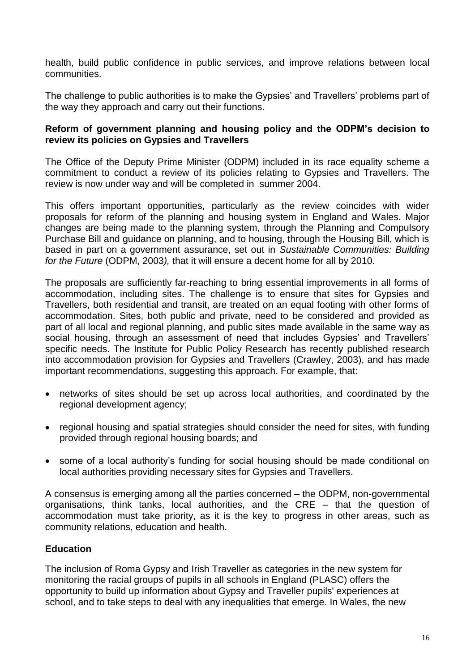health, build public confidence in public services, and improve relations between local communities.

The challenge to public authorities is to make the Gypsies' and Travellers' problems part of the way they approach and carry out their functions.

#### **Reform of government planning and housing policy and the ODPM's decision to review its policies on Gypsies and Travellers**

The Office of the Deputy Prime Minister (ODPM) included in its race equality scheme a commitment to conduct a review of its policies relating to Gypsies and Travellers. The review is now under way and will be completed in summer 2004.

This offers important opportunities, particularly as the review coincides with wider proposals for reform of the planning and housing system in England and Wales. Major changes are being made to the planning system, through the Planning and Compulsory Purchase Bill and guidance on planning, and to housing, through the Housing Bill, which is based in part on a government assurance, set out in *Sustainable Communities: Building for the Future* (ODPM, 2003*),* that it will ensure a decent home for all by 2010.

The proposals are sufficiently far-reaching to bring essential improvements in all forms of accommodation, including sites. The challenge is to ensure that sites for Gypsies and Travellers, both residential and transit, are treated on an equal footing with other forms of accommodation. Sites, both public and private, need to be considered and provided as part of all local and regional planning, and public sites made available in the same way as social housing, through an assessment of need that includes Gypsies' and Travellers' specific needs. The Institute for Public Policy Research has recently published research into accommodation provision for Gypsies and Travellers (Crawley, 2003), and has made important recommendations, suggesting this approach. For example, that:

- networks of sites should be set up across local authorities, and coordinated by the regional development agency;
- regional housing and spatial strategies should consider the need for sites, with funding provided through regional housing boards; and
- some of a local authority's funding for social housing should be made conditional on local authorities providing necessary sites for Gypsies and Travellers.

A consensus is emerging among all the parties concerned – the ODPM, non-governmental organisations, think tanks, local authorities, and the CRE – that the question of accommodation must take priority, as it is the key to progress in other areas, such as community relations, education and health.

## **Education**

The inclusion of Roma Gypsy and Irish Traveller as categories in the new system for monitoring the racial groups of pupils in all schools in England (PLASC) offers the opportunity to build up information about Gypsy and Traveller pupils' experiences at school, and to take steps to deal with any inequalities that emerge. In Wales, the new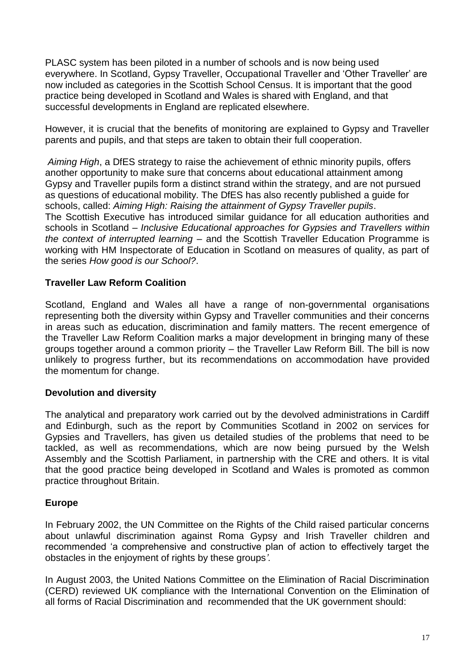PLASC system has been piloted in a number of schools and is now being used everywhere. In Scotland, Gypsy Traveller, Occupational Traveller and 'Other Traveller' are now included as categories in the Scottish School Census. It is important that the good practice being developed in Scotland and Wales is shared with England, and that successful developments in England are replicated elsewhere.

However, it is crucial that the benefits of monitoring are explained to Gypsy and Traveller parents and pupils, and that steps are taken to obtain their full cooperation.

*Aiming High*, a DfES strategy to raise the achievement of ethnic minority pupils, offers another opportunity to make sure that concerns about educational attainment among Gypsy and Traveller pupils form a distinct strand within the strategy, and are not pursued as questions of educational mobility. The DfES has also recently published a guide for schools, called: *Aiming High: Raising the attainment of Gypsy Traveller pupils*. The Scottish Executive has introduced similar guidance for all education authorities and schools in Scotland – *Inclusive Educational approaches for Gypsies and Travellers within the context of interrupted learning* – and the Scottish Traveller Education Programme is working with HM Inspectorate of Education in Scotland on measures of quality, as part of the series *How good is our School?*.

## **Traveller Law Reform Coalition**

Scotland, England and Wales all have a range of non-governmental organisations representing both the diversity within Gypsy and Traveller communities and their concerns in areas such as education, discrimination and family matters. The recent emergence of the Traveller Law Reform Coalition marks a major development in bringing many of these groups together around a common priority – the Traveller Law Reform Bill. The bill is now unlikely to progress further, but its recommendations on accommodation have provided the momentum for change.

## **Devolution and diversity**

The analytical and preparatory work carried out by the devolved administrations in Cardiff and Edinburgh, such as the report by Communities Scotland in 2002 on services for Gypsies and Travellers, has given us detailed studies of the problems that need to be tackled, as well as recommendations, which are now being pursued by the Welsh Assembly and the Scottish Parliament, in partnership with the CRE and others. It is vital that the good practice being developed in Scotland and Wales is promoted as common practice throughout Britain.

## **Europe**

In February 2002, the UN Committee on the Rights of the Child raised particular concerns about unlawful discrimination against Roma Gypsy and Irish Traveller children and recommended 'a comprehensive and constructive plan of action to effectively target the obstacles in the enjoyment of rights by these groups*'.*

In August 2003, the United Nations Committee on the Elimination of Racial Discrimination (CERD) reviewed UK compliance with the International Convention on the Elimination of all forms of Racial Discrimination and recommended that the UK government should: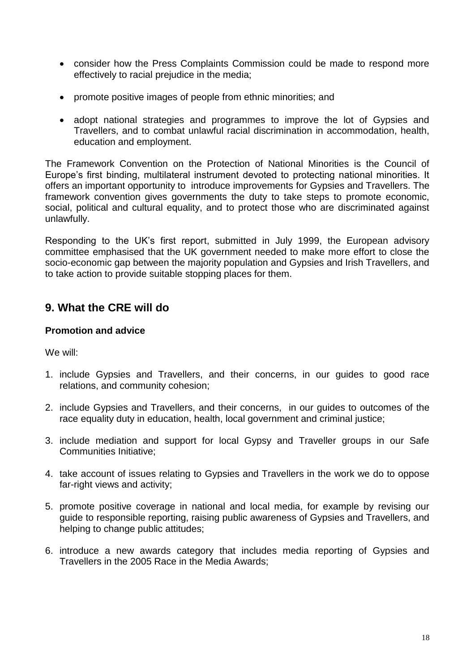- consider how the Press Complaints Commission could be made to respond more effectively to racial prejudice in the media;
- promote positive images of people from ethnic minorities; and
- adopt national strategies and programmes to improve the lot of Gypsies and Travellers, and to combat unlawful racial discrimination in accommodation, health, education and employment.

The Framework Convention on the Protection of National Minorities is the Council of Europe's first binding, multilateral instrument devoted to protecting national minorities. It offers an important opportunity to introduce improvements for Gypsies and Travellers. The framework convention gives governments the duty to take steps to promote economic, social, political and cultural equality, and to protect those who are discriminated against unlawfully.

Responding to the UK's first report, submitted in July 1999, the European advisory committee emphasised that the UK government needed to make more effort to close the socio-economic gap between the majority population and Gypsies and Irish Travellers, and to take action to provide suitable stopping places for them.

# **9. What the CRE will do**

#### **Promotion and advice**

We will:

- 1. include Gypsies and Travellers, and their concerns, in our guides to good race relations, and community cohesion;
- 2. include Gypsies and Travellers, and their concerns, in our guides to outcomes of the race equality duty in education, health, local government and criminal justice;
- 3. include mediation and support for local Gypsy and Traveller groups in our Safe Communities Initiative;
- 4. take account of issues relating to Gypsies and Travellers in the work we do to oppose far-right views and activity;
- 5. promote positive coverage in national and local media, for example by revising our guide to responsible reporting, raising public awareness of Gypsies and Travellers, and helping to change public attitudes;
- 6. introduce a new awards category that includes media reporting of Gypsies and Travellers in the 2005 Race in the Media Awards;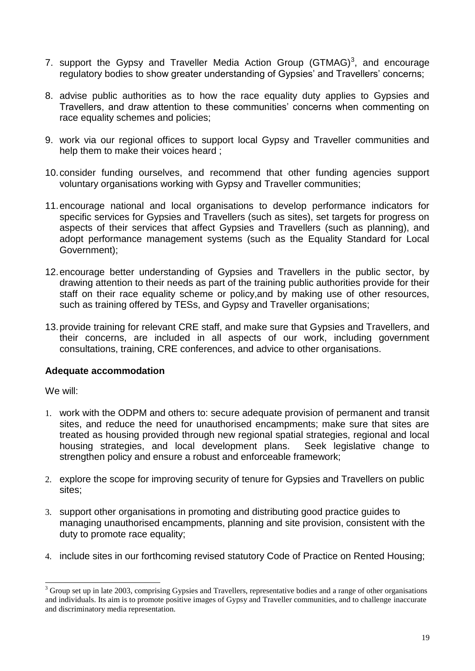- 7. support the Gypsy and Traveller Media Action Group (GTMAG)<sup>3</sup>, and encourage regulatory bodies to show greater understanding of Gypsies' and Travellers' concerns;
- 8. advise public authorities as to how the race equality duty applies to Gypsies and Travellers, and draw attention to these communities' concerns when commenting on race equality schemes and policies;
- 9. work via our regional offices to support local Gypsy and Traveller communities and help them to make their voices heard ;
- 10.consider funding ourselves, and recommend that other funding agencies support voluntary organisations working with Gypsy and Traveller communities;
- 11.encourage national and local organisations to develop performance indicators for specific services for Gypsies and Travellers (such as sites), set targets for progress on aspects of their services that affect Gypsies and Travellers (such as planning), and adopt performance management systems (such as the Equality Standard for Local Government);
- 12.encourage better understanding of Gypsies and Travellers in the public sector, by drawing attention to their needs as part of the training public authorities provide for their staff on their race equality scheme or policy,and by making use of other resources, such as training offered by TESs, and Gypsy and Traveller organisations;
- 13.provide training for relevant CRE staff, and make sure that Gypsies and Travellers, and their concerns, are included in all aspects of our work, including government consultations, training, CRE conferences, and advice to other organisations.

#### **Adequate accommodation**

We will:

 $\overline{a}$ 

- 1. work with the ODPM and others to: secure adequate provision of permanent and transit sites, and reduce the need for unauthorised encampments; make sure that sites are treated as housing provided through new regional spatial strategies, regional and local housing strategies, and local development plans. Seek legislative change to strengthen policy and ensure a robust and enforceable framework;
- 2. explore the scope for improving security of tenure for Gypsies and Travellers on public sites;
- 3. support other organisations in promoting and distributing good practice guides to managing unauthorised encampments, planning and site provision, consistent with the duty to promote race equality;
- 4. include sites in our forthcoming revised statutory Code of Practice on Rented Housing;

 $3$  Group set up in late 2003, comprising Gypsies and Travellers, representative bodies and a range of other organisations and individuals. Its aim is to promote positive images of Gypsy and Traveller communities, and to challenge inaccurate and discriminatory media representation.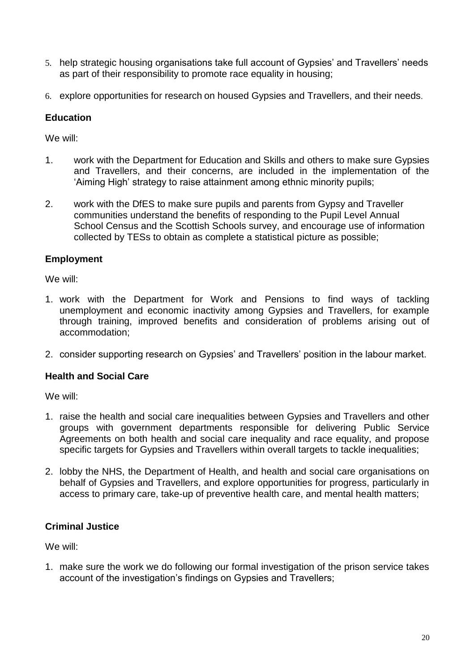- 5. help strategic housing organisations take full account of Gypsies' and Travellers' needs as part of their responsibility to promote race equality in housing;
- 6. explore opportunities for research on housed Gypsies and Travellers, and their needs.

## **Education**

We will:

- 1. work with the Department for Education and Skills and others to make sure Gypsies and Travellers, and their concerns, are included in the implementation of the 'Aiming High' strategy to raise attainment among ethnic minority pupils;
- 2. work with the DfES to make sure pupils and parents from Gypsy and Traveller communities understand the benefits of responding to the Pupil Level Annual School Census and the Scottish Schools survey, and encourage use of information collected by TESs to obtain as complete a statistical picture as possible;

#### **Employment**

We will:

- 1. work with the Department for Work and Pensions to find ways of tackling unemployment and economic inactivity among Gypsies and Travellers, for example through training, improved benefits and consideration of problems arising out of accommodation;
- 2. consider supporting research on Gypsies' and Travellers' position in the labour market.

## **Health and Social Care**

We will:

- 1. raise the health and social care inequalities between Gypsies and Travellers and other groups with government departments responsible for delivering Public Service Agreements on both health and social care inequality and race equality, and propose specific targets for Gypsies and Travellers within overall targets to tackle inequalities;
- 2. lobby the NHS, the Department of Health, and health and social care organisations on behalf of Gypsies and Travellers, and explore opportunities for progress, particularly in access to primary care, take-up of preventive health care, and mental health matters;

## **Criminal Justice**

We will:

1. make sure the work we do following our formal investigation of the prison service takes account of the investigation's findings on Gypsies and Travellers;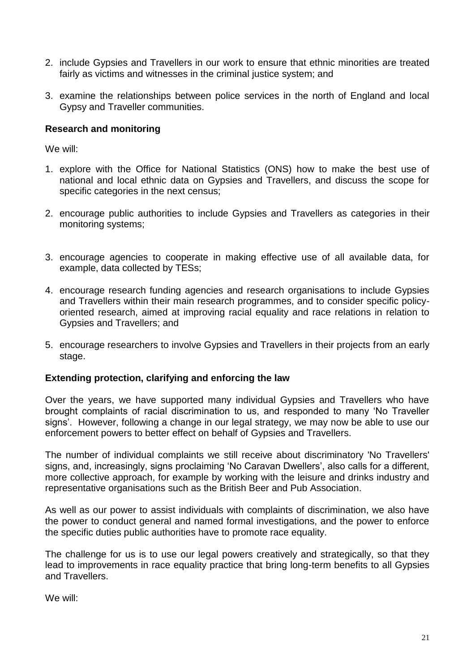- 2. include Gypsies and Travellers in our work to ensure that ethnic minorities are treated fairly as victims and witnesses in the criminal justice system; and
- 3. examine the relationships between police services in the north of England and local Gypsy and Traveller communities.

#### **Research and monitoring**

We will:

- 1. explore with the Office for National Statistics (ONS) how to make the best use of national and local ethnic data on Gypsies and Travellers, and discuss the scope for specific categories in the next census;
- 2. encourage public authorities to include Gypsies and Travellers as categories in their monitoring systems;
- 3. encourage agencies to cooperate in making effective use of all available data, for example, data collected by TESs;
- 4. encourage research funding agencies and research organisations to include Gypsies and Travellers within their main research programmes, and to consider specific policyoriented research, aimed at improving racial equality and race relations in relation to Gypsies and Travellers; and
- 5. encourage researchers to involve Gypsies and Travellers in their projects from an early stage.

#### **Extending protection, clarifying and enforcing the law**

Over the years, we have supported many individual Gypsies and Travellers who have brought complaints of racial discrimination to us, and responded to many 'No Traveller signs'. However, following a change in our legal strategy, we may now be able to use our enforcement powers to better effect on behalf of Gypsies and Travellers.

The number of individual complaints we still receive about discriminatory 'No Travellers' signs, and, increasingly, signs proclaiming 'No Caravan Dwellers', also calls for a different, more collective approach, for example by working with the leisure and drinks industry and representative organisations such as the British Beer and Pub Association.

As well as our power to assist individuals with complaints of discrimination, we also have the power to conduct general and named formal investigations, and the power to enforce the specific duties public authorities have to promote race equality.

The challenge for us is to use our legal powers creatively and strategically, so that they lead to improvements in race equality practice that bring long-term benefits to all Gypsies and Travellers.

We will: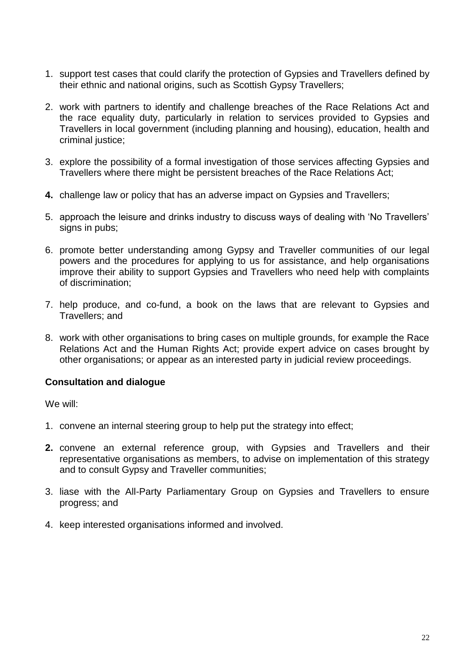- 1. support test cases that could clarify the protection of Gypsies and Travellers defined by their ethnic and national origins, such as Scottish Gypsy Travellers;
- 2. work with partners to identify and challenge breaches of the Race Relations Act and the race equality duty, particularly in relation to services provided to Gypsies and Travellers in local government (including planning and housing), education, health and criminal justice;
- 3. explore the possibility of a formal investigation of those services affecting Gypsies and Travellers where there might be persistent breaches of the Race Relations Act;
- **4.** challenge law or policy that has an adverse impact on Gypsies and Travellers;
- 5. approach the leisure and drinks industry to discuss ways of dealing with 'No Travellers' signs in pubs;
- 6. promote better understanding among Gypsy and Traveller communities of our legal powers and the procedures for applying to us for assistance, and help organisations improve their ability to support Gypsies and Travellers who need help with complaints of discrimination;
- 7. help produce, and co-fund, a book on the laws that are relevant to Gypsies and Travellers; and
- 8. work with other organisations to bring cases on multiple grounds, for example the Race Relations Act and the Human Rights Act; provide expert advice on cases brought by other organisations; or appear as an interested party in judicial review proceedings.

#### **Consultation and dialogue**

We will:

- 1. convene an internal steering group to help put the strategy into effect;
- **2.** convene an external reference group, with Gypsies and Travellers and their representative organisations as members, to advise on implementation of this strategy and to consult Gypsy and Traveller communities;
- 3. liase with the All-Party Parliamentary Group on Gypsies and Travellers to ensure progress; and
- 4. keep interested organisations informed and involved.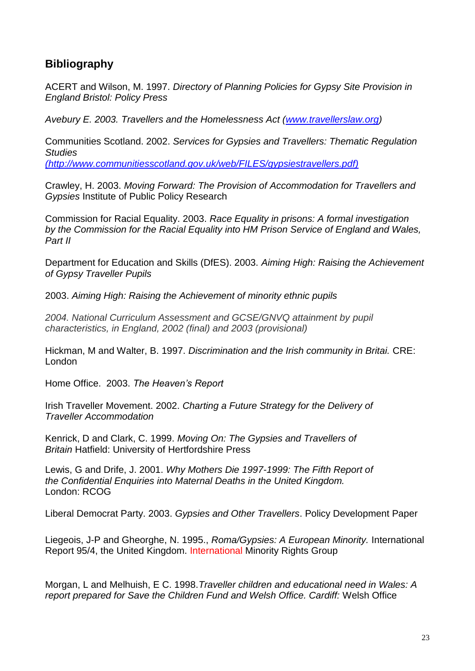# **Bibliography**

ACERT and Wilson, M. 1997. *Directory of Planning Policies for Gypsy Site Provision in England Bristol: Policy Press*

*Avebury E. 2003. Travellers and the Homelessness Act [\(www.travellerslaw.org\)](http://www.travellerslaw.org/)*

Communities Scotland. 2002. *Services for Gypsies and Travellers: Thematic Regulation Studies (http://www.communitiesscotland.gov.uk/web/FILES/gypsiestravellers.pdf)*

Crawley, H. 2003. *Moving Forward: The Provision of Accommodation for Travellers and Gypsies* Institute of Public Policy Research

Commission for Racial Equality. 2003. *Race Equality in prisons: A formal investigation by the Commission for the Racial Equality into HM Prison Service of England and Wales, Part II*

Department for Education and Skills (DfES). 2003. *Aiming High: Raising the Achievement of Gypsy Traveller Pupils*

2003. *Aiming High: Raising the Achievement of minority ethnic pupils*

*2004. National Curriculum Assessment and GCSE/GNVQ attainment by pupil characteristics, in England, 2002 (final) and 2003 (provisional)*

Hickman, M and Walter, B. 1997. *Discrimination and the Irish community in Britai.* CRE: London

Home Office. 2003. *The Heaven's Report*

Irish Traveller Movement. 2002. *Charting a Future Strategy for the Delivery of Traveller Accommodation*

Kenrick, D and Clark, C. 1999. *Moving On: The Gypsies and Travellers of Britain* Hatfield: University of Hertfordshire Press

Lewis, G and Drife, J. 2001. *Why Mothers Die 1997-1999: The Fifth Report of the Confidential Enquiries into Maternal Deaths in the United Kingdom.* London: RCOG

Liberal Democrat Party. 2003. *Gypsies and Other Travellers*. Policy Development Paper

Liegeois, J-P and Gheorghe, N. 1995., *Roma/Gypsies: A European Minority.* International Report 95/4, the United Kingdom. International Minority Rights Group

Morgan, L and Melhuish, E C. 1998.*Traveller children and educational need in Wales: A report prepared for Save the Children Fund and Welsh Office. Cardiff:* Welsh Office